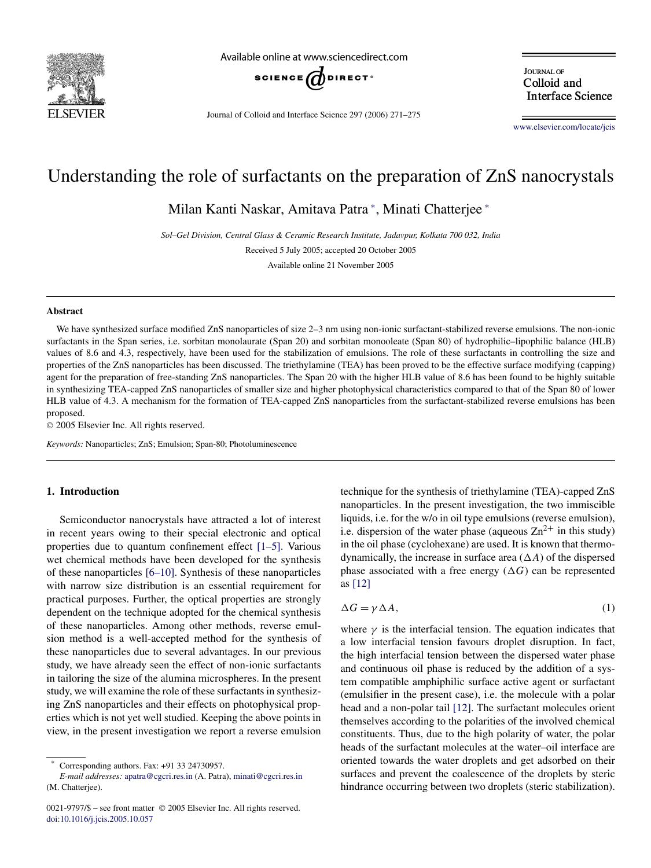

Available online at www.sciencedirect.com



Journal of Colloid and Interface Science 297 (2006) 271–275

**JOURNAL OF** Colloid and **Interface Science** 

[www.elsevier.com/locate/jcis](http://www.elsevier.com/locate/jcis)

# Understanding the role of surfactants on the preparation of ZnS nanocrystals

Milan Kanti Naskar, Amitava Patra <sup>∗</sup> , Minati Chatterjee <sup>∗</sup>

*Sol–Gel Division, Central Glass & Ceramic Research Institute, Jadavpur, Kolkata 700 032, India*

Received 5 July 2005; accepted 20 October 2005

Available online 21 November 2005

#### **Abstract**

We have synthesized surface modified ZnS nanoparticles of size 2–3 nm using non-ionic surfactant-stabilized reverse emulsions. The non-ionic surfactants in the Span series, i.e. sorbitan monolaurate (Span 20) and sorbitan monooleate (Span 80) of hydrophilic–lipophilic balance (HLB) values of 8.6 and 4.3, respectively, have been used for the stabilization of emulsions. The role of these surfactants in controlling the size and properties of the ZnS nanoparticles has been discussed. The triethylamine (TEA) has been proved to be the effective surface modifying (capping) agent for the preparation of free-standing ZnS nanoparticles. The Span 20 with the higher HLB value of 8.6 has been found to be highly suitable in synthesizing TEA-capped ZnS nanoparticles of smaller size and higher photophysical characteristics compared to that of the Span 80 of lower HLB value of 4.3. A mechanism for the formation of TEA-capped ZnS nanoparticles from the surfactant-stabilized reverse emulsions has been proposed.

2005 Elsevier Inc. All rights reserved.

*Keywords:* Nanoparticles; ZnS; Emulsion; Span-80; Photoluminescence

# **1. Introduction**

Semiconductor nanocrystals have attracted a lot of interest in recent years owing to their special electronic and optical properties due to quantum confinement effect [\[1–5\].](#page-4-0) Various wet chemical methods have been developed for the synthesis of these nanoparticles [\[6–10\].](#page-4-0) Synthesis of these nanoparticles with narrow size distribution is an essential requirement for practical purposes. Further, the optical properties are strongly dependent on the technique adopted for the chemical synthesis of these nanoparticles. Among other methods, reverse emulsion method is a well-accepted method for the synthesis of these nanoparticles due to several advantages. In our previous study, we have already seen the effect of non-ionic surfactants in tailoring the size of the alumina microspheres. In the present study, we will examine the role of these surfactants in synthesizing ZnS nanoparticles and their effects on photophysical properties which is not yet well studied. Keeping the above points in view, in the present investigation we report a reverse emulsion

technique for the synthesis of triethylamine (TEA)-capped ZnS nanoparticles. In the present investigation, the two immiscible liquids, i.e. for the w/o in oil type emulsions (reverse emulsion), i.e. dispersion of the water phase (aqueous  $Zn^{2+}$  in this study) in the oil phase (cyclohexane) are used. It is known that thermodynamically, the increase in surface area  $(\Delta A)$  of the dispersed phase associated with a free energy  $(\Delta G)$  can be represented as [\[12\]](#page-4-0)

$$
\Delta G = \gamma \Delta A, \tag{1}
$$

where  $\gamma$  is the interfacial tension. The equation indicates that a low interfacial tension favours droplet disruption. In fact, the high interfacial tension between the dispersed water phase and continuous oil phase is reduced by the addition of a system compatible amphiphilic surface active agent or surfactant (emulsifier in the present case), i.e. the molecule with a polar head and a non-polar tail [\[12\].](#page-4-0) The surfactant molecules orient themselves according to the polarities of the involved chemical constituents. Thus, due to the high polarity of water, the polar heads of the surfactant molecules at the water–oil interface are oriented towards the water droplets and get adsorbed on their surfaces and prevent the coalescence of the droplets by steric hindrance occurring between two droplets (steric stabilization).

Corresponding authors. Fax: +91 33 24730957.

*E-mail addresses:* [apatra@cgcri.res.in](mailto:apatra@cgcri.res.in) (A. Patra), [minati@cgcri.res.in](mailto:minati@cgcri.res.in) (M. Chatterjee).

<sup>0021-9797/\$ –</sup> see front matter © 2005 Elsevier Inc. All rights reserved. [doi:10.1016/j.jcis.2005.10.057](http://dx.doi.org/10.1016/j.jcis.2005.10.057)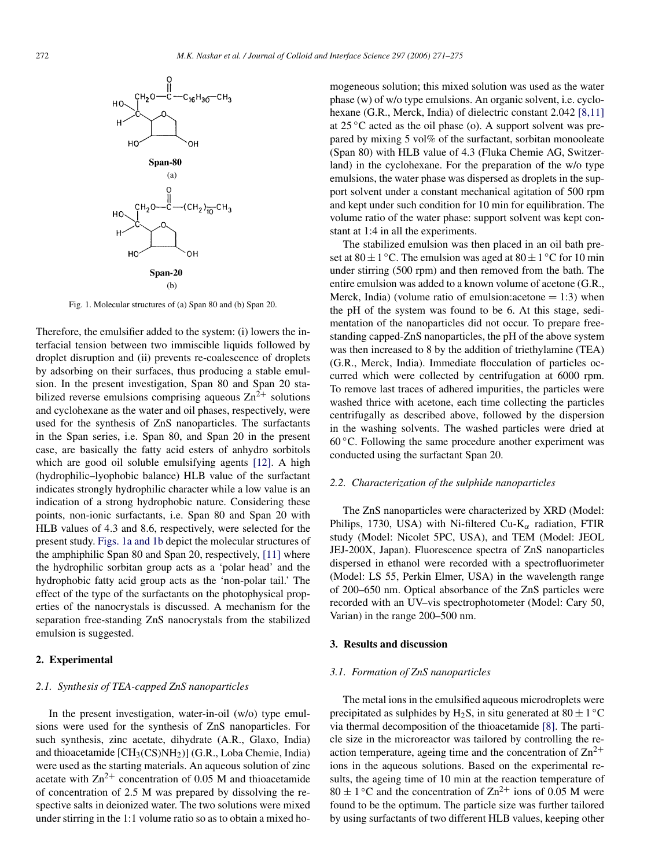<span id="page-1-0"></span>

Fig. 1. Molecular structures of (a) Span 80 and (b) Span 20.

Therefore, the emulsifier added to the system: (i) lowers the interfacial tension between two immiscible liquids followed by droplet disruption and (ii) prevents re-coalescence of droplets by adsorbing on their surfaces, thus producing a stable emulsion. In the present investigation, Span 80 and Span 20 stabilized reverse emulsions comprising aqueous  $\text{Zn}^{2+}$  solutions and cyclohexane as the water and oil phases, respectively, were used for the synthesis of ZnS nanoparticles. The surfactants in the Span series, i.e. Span 80, and Span 20 in the present case, are basically the fatty acid esters of anhydro sorbitols which are good oil soluble emulsifying agents [\[12\].](#page-4-0) A high (hydrophilic–lyophobic balance) HLB value of the surfactant indicates strongly hydrophilic character while a low value is an indication of a strong hydrophobic nature. Considering these points, non-ionic surfactants, i.e. Span 80 and Span 20 with HLB values of 4.3 and 8.6, respectively, were selected for the present study. Figs. 1a and 1b depict the molecular structures of the amphiphilic Span 80 and Span 20, respectively, [\[11\]](#page-4-0) where the hydrophilic sorbitan group acts as a 'polar head' and the hydrophobic fatty acid group acts as the 'non-polar tail.' The effect of the type of the surfactants on the photophysical properties of the nanocrystals is discussed. A mechanism for the separation free-standing ZnS nanocrystals from the stabilized emulsion is suggested.

# **2. Experimental**

# *2.1. Synthesis of TEA-capped ZnS nanoparticles*

In the present investigation, water-in-oil (w/o) type emulsions were used for the synthesis of ZnS nanoparticles. For such synthesis, zinc acetate, dihydrate (A.R., Glaxo, India) and thioacetamide [CH3(CS)NH2)] (G.R., Loba Chemie, India) were used as the starting materials. An aqueous solution of zinc acetate with  $\text{Zn}^{2+}$  concentration of 0.05 M and thioacetamide of concentration of 2.5 M was prepared by dissolving the respective salts in deionized water. The two solutions were mixed under stirring in the 1:1 volume ratio so as to obtain a mixed homogeneous solution; this mixed solution was used as the water phase (w) of w/o type emulsions. An organic solvent, i.e. cyclo-hexane (G.R., Merck, India) of dielectric constant 2.042 [\[8,11\]](#page-4-0) at  $25^{\circ}$ C acted as the oil phase (o). A support solvent was prepared by mixing 5 vol% of the surfactant, sorbitan monooleate (Span 80) with HLB value of 4.3 (Fluka Chemie AG, Switzerland) in the cyclohexane. For the preparation of the w/o type emulsions, the water phase was dispersed as droplets in the support solvent under a constant mechanical agitation of 500 rpm and kept under such condition for 10 min for equilibration. The volume ratio of the water phase: support solvent was kept constant at 1:4 in all the experiments.

The stabilized emulsion was then placed in an oil bath preset at  $80 \pm 1$  °C. The emulsion was aged at  $80 \pm 1$  °C for 10 min under stirring (500 rpm) and then removed from the bath. The entire emulsion was added to a known volume of acetone (G.R., Merck, India) (volume ratio of emulsion: acetone  $= 1:3$ ) when the pH of the system was found to be 6. At this stage, sedimentation of the nanoparticles did not occur. To prepare freestanding capped-ZnS nanoparticles, the pH of the above system was then increased to 8 by the addition of triethylamine (TEA) (G.R., Merck, India). Immediate flocculation of particles occurred which were collected by centrifugation at 6000 rpm. To remove last traces of adhered impurities, the particles were washed thrice with acetone, each time collecting the particles centrifugally as described above, followed by the dispersion in the washing solvents. The washed particles were dried at  $60^{\circ}$ C. Following the same procedure another experiment was conducted using the surfactant Span 20.

#### *2.2. Characterization of the sulphide nanoparticles*

The ZnS nanoparticles were characterized by XRD (Model: Philips, 1730, USA) with Ni-filtered Cu-K*<sup>α</sup>* radiation, FTIR study (Model: Nicolet 5PC, USA), and TEM (Model: JEOL JEJ-200X, Japan). Fluorescence spectra of ZnS nanoparticles dispersed in ethanol were recorded with a spectrofluorimeter (Model: LS 55, Perkin Elmer, USA) in the wavelength range of 200–650 nm. Optical absorbance of the ZnS particles were recorded with an UV–vis spectrophotometer (Model: Cary 50, Varian) in the range 200–500 nm.

#### **3. Results and discussion**

#### *3.1. Formation of ZnS nanoparticles*

The metal ions in the emulsified aqueous microdroplets were precipitated as sulphides by H<sub>2</sub>S, in situ generated at  $80 \pm 1$  °C via thermal decomposition of the thioacetamide [\[8\].](#page-4-0) The particle size in the microreactor was tailored by controlling the reaction temperature, ageing time and the concentration of  $\text{Zn}^{2+}$ ions in the aqueous solutions. Based on the experimental results, the ageing time of 10 min at the reaction temperature of  $80 \pm 1$  °C and the concentration of  $\text{Zn}^{2+}$  ions of 0.05 M were found to be the optimum. The particle size was further tailored by using surfactants of two different HLB values, keeping other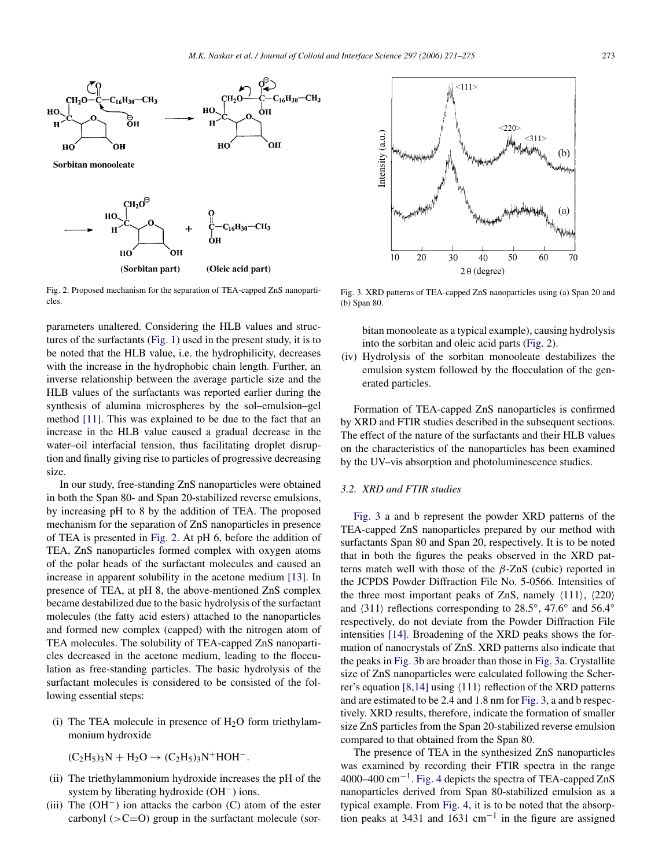

Fig. 2. Proposed mechanism for the separation of TEA-capped ZnS nanoparticles.

parameters unaltered. Considering the HLB values and structures of the surfactants [\(Fig. 1\)](#page-1-0) used in the present study, it is to be noted that the HLB value, i.e. the hydrophilicity, decreases with the increase in the hydrophobic chain length. Further, an inverse relationship between the average particle size and the HLB values of the surfactants was reported earlier during the synthesis of alumina microspheres by the sol–emulsion–gel method [\[11\].](#page-4-0) This was explained to be due to the fact that an increase in the HLB value caused a gradual decrease in the water–oil interfacial tension, thus facilitating droplet disruption and finally giving rise to particles of progressive decreasing size.

In our study, free-standing ZnS nanoparticles were obtained in both the Span 80- and Span 20-stabilized reverse emulsions, by increasing pH to 8 by the addition of TEA. The proposed mechanism for the separation of ZnS nanoparticles in presence of TEA is presented in Fig. 2. At pH 6, before the addition of TEA, ZnS nanoparticles formed complex with oxygen atoms of the polar heads of the surfactant molecules and caused an increase in apparent solubility in the acetone medium [\[13\].](#page-4-0) In presence of TEA, at pH 8, the above-mentioned ZnS complex became destabilized due to the basic hydrolysis of the surfactant molecules (the fatty acid esters) attached to the nanoparticles and formed new complex (capped) with the nitrogen atom of TEA molecules. The solubility of TEA-capped ZnS nanoparticles decreased in the acetone medium, leading to the flocculation as free-standing particles. The basic hydrolysis of the surfactant molecules is considered to be consisted of the following essential steps:

(i) The TEA molecule in presence of  $H<sub>2</sub>O$  form triethylammonium hydroxide

$$
(\mathrm{C}_2\mathrm{H}_5)_3\mathrm{N} + \mathrm{H}_2\mathrm{O} \rightarrow (\mathrm{C}_2\mathrm{H}_5)_3\mathrm{N}^+\mathrm{HOH}^-.
$$

- (ii) The triethylammonium hydroxide increases the pH of the system by liberating hydroxide (OH−) ions.
- (iii) The (OH−) ion attacks the carbon (C) atom of the ester carbonyl (*>*C=O) group in the surfactant molecule (sor-



Fig. 3. XRD patterns of TEA-capped ZnS nanoparticles using (a) Span 20 and (b) Span 80.

bitan monooleate as a typical example), causing hydrolysis into the sorbitan and oleic acid parts (Fig. 2).

(iv) Hydrolysis of the sorbitan monooleate destabilizes the emulsion system followed by the flocculation of the generated particles.

Formation of TEA-capped ZnS nanoparticles is confirmed by XRD and FTIR studies described in the subsequent sections. The effect of the nature of the surfactants and their HLB values on the characteristics of the nanoparticles has been examined by the UV–vis absorption and photoluminescence studies.

### *3.2. XRD and FTIR studies*

Fig. 3 a and b represent the powder XRD patterns of the TEA-capped ZnS nanoparticles prepared by our method with surfactants Span 80 and Span 20, respectively. It is to be noted that in both the figures the peaks observed in the XRD patterns match well with those of the *β*-ZnS (cubic) reported in the JCPDS Powder Diffraction File No. 5-0566. Intensities of the three most important peaks of ZnS, namely  $\langle 111 \rangle$ ,  $\langle 220 \rangle$ and  $\langle 311 \rangle$  reflections corresponding to 28.5°, 47.6° and 56.4° respectively, do not deviate from the Powder Diffraction File intensities [\[14\].](#page-4-0) Broadening of the XRD peaks shows the formation of nanocrystals of ZnS. XRD patterns also indicate that the peaks in Fig. 3b are broader than those in Fig. 3a. Crystallite size of ZnS nanoparticles were calculated following the Scher-rer's equation [\[8,14\]](#page-4-0) using  $\langle 111 \rangle$  reflection of the XRD patterns and are estimated to be 2.4 and 1.8 nm for Fig. 3, a and b respectively. XRD results, therefore, indicate the formation of smaller size ZnS particles from the Span 20-stabilized reverse emulsion compared to that obtained from the Span 80.

The presence of TEA in the synthesized ZnS nanoparticles was examined by recording their FTIR spectra in the range 4000–400 cm−1. [Fig. 4](#page-3-0) depicts the spectra of TEA-capped ZnS nanoparticles derived from Span 80-stabilized emulsion as a typical example. From [Fig. 4,](#page-3-0) it is to be noted that the absorption peaks at 3431 and 1631 cm−<sup>1</sup> in the figure are assigned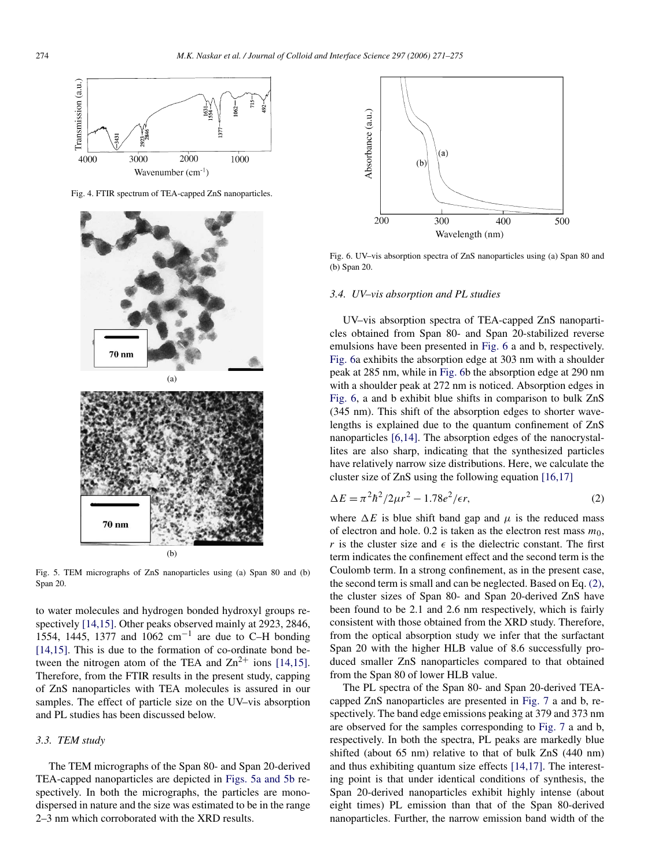<span id="page-3-0"></span>

Fig. 4. FTIR spectrum of TEA-capped ZnS nanoparticles.



Fig. 5. TEM micrographs of ZnS nanoparticles using (a) Span 80 and (b) Span 20.

to water molecules and hydrogen bonded hydroxyl groups respectively [\[14,15\].](#page-4-0) Other peaks observed mainly at 2923, 2846, 1554, 1445, 1377 and 1062 cm<sup>-1</sup> are due to C–H bonding [\[14,15\].](#page-4-0) This is due to the formation of co-ordinate bond between the nitrogen atom of the TEA and  $\text{Zn}^{2+}$  ions [\[14,15\].](#page-4-0) Therefore, from the FTIR results in the present study, capping of ZnS nanoparticles with TEA molecules is assured in our samples. The effect of particle size on the UV–vis absorption and PL studies has been discussed below.

# *3.3. TEM study*

The TEM micrographs of the Span 80- and Span 20-derived TEA-capped nanoparticles are depicted in Figs. 5a and 5b respectively. In both the micrographs, the particles are monodispersed in nature and the size was estimated to be in the range 2–3 nm which corroborated with the XRD results.



Fig. 6. UV–vis absorption spectra of ZnS nanoparticles using (a) Span 80 and (b) Span 20.

#### *3.4. UV–vis absorption and PL studies*

UV–vis absorption spectra of TEA-capped ZnS nanoparticles obtained from Span 80- and Span 20-stabilized reverse emulsions have been presented in Fig. 6 a and b, respectively. Fig. 6a exhibits the absorption edge at 303 nm with a shoulder peak at 285 nm, while in Fig. 6b the absorption edge at 290 nm with a shoulder peak at 272 nm is noticed. Absorption edges in Fig. 6, a and b exhibit blue shifts in comparison to bulk ZnS (345 nm). This shift of the absorption edges to shorter wavelengths is explained due to the quantum confinement of ZnS nanoparticles [\[6,14\].](#page-4-0) The absorption edges of the nanocrystallites are also sharp, indicating that the synthesized particles have relatively narrow size distributions. Here, we calculate the cluster size of ZnS using the following equation [\[16,17\]](#page-4-0)

$$
\Delta E = \pi^2 \hbar^2 / 2\mu r^2 - 1.78e^2 / \epsilon r,
$$
\n(2)

where  $\Delta E$  is blue shift band gap and  $\mu$  is the reduced mass of electron and hole. 0.2 is taken as the electron rest mass  $m_0$ , *r* is the cluster size and  $\epsilon$  is the dielectric constant. The first term indicates the confinement effect and the second term is the Coulomb term. In a strong confinement, as in the present case, the second term is small and can be neglected. Based on Eq. (2), the cluster sizes of Span 80- and Span 20-derived ZnS have been found to be 2.1 and 2.6 nm respectively, which is fairly consistent with those obtained from the XRD study. Therefore, from the optical absorption study we infer that the surfactant Span 20 with the higher HLB value of 8.6 successfully produced smaller ZnS nanoparticles compared to that obtained from the Span 80 of lower HLB value.

The PL spectra of the Span 80- and Span 20-derived TEAcapped ZnS nanoparticles are presented in [Fig. 7](#page-4-0) a and b, respectively. The band edge emissions peaking at 379 and 373 nm are observed for the samples corresponding to [Fig. 7](#page-4-0) a and b, respectively. In both the spectra, PL peaks are markedly blue shifted (about 65 nm) relative to that of bulk ZnS (440 nm) and thus exhibiting quantum size effects [\[14,17\].](#page-4-0) The interesting point is that under identical conditions of synthesis, the Span 20-derived nanoparticles exhibit highly intense (about eight times) PL emission than that of the Span 80-derived nanoparticles. Further, the narrow emission band width of the